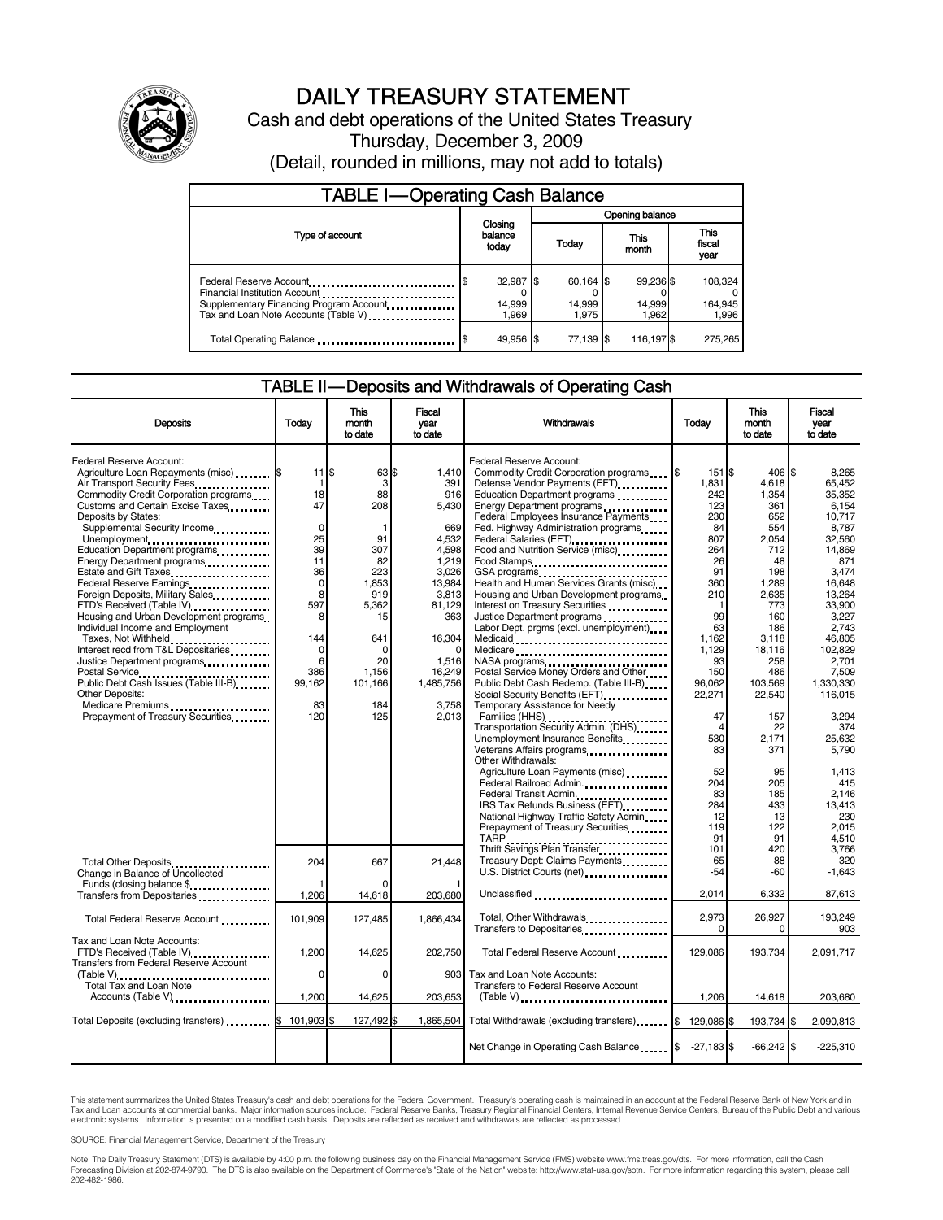

# DAILY TREASURY STATEMENT

Cash and debt operations of the United States Treasury Thursday, December 3, 2009 (Detail, rounded in millions, may not add to totals)

| <b>TABLE I-Operating Cash Balance</b>                                                                                                                                                    |                              |  |                                |  |                              |  |                             |  |
|------------------------------------------------------------------------------------------------------------------------------------------------------------------------------------------|------------------------------|--|--------------------------------|--|------------------------------|--|-----------------------------|--|
|                                                                                                                                                                                          | Closing<br>balance<br>today  |  | Opening balance                |  |                              |  |                             |  |
| Type of account                                                                                                                                                                          |                              |  | Today                          |  | This<br>month                |  | This<br>fiscal<br>year      |  |
| Federal Reserve Account<br>Financial Institution Account<br>Supplementary Financing Program Account.<br>Tax and Loan Note Accounts (Table V) <b>Tax and Loan Note Accounts</b> (Table V) | 32,987 \$<br>14,999<br>1.969 |  | $60,164$ \$<br>14,999<br>1.975 |  | 99,236 \$<br>14,999<br>1.962 |  | 108,324<br>164,945<br>1,996 |  |
| Total Operating Balance                                                                                                                                                                  | 49.956 \$                    |  | 77.139 S                       |  | 116,197 \$                   |  | 275,265                     |  |

### TABLE II — Deposits and Withdrawals of Operating Cash

| <b>Deposits</b>                                                                                                                                      | Todav                                      | This<br>month<br>to date           | Fiscal<br>year<br>to date                  | Withdrawals                                                                                                                                                                                                                                                                                                                                    | Today                         | This<br>month<br>to date           | Fiscal<br>vear<br>to date                  |
|------------------------------------------------------------------------------------------------------------------------------------------------------|--------------------------------------------|------------------------------------|--------------------------------------------|------------------------------------------------------------------------------------------------------------------------------------------------------------------------------------------------------------------------------------------------------------------------------------------------------------------------------------------------|-------------------------------|------------------------------------|--------------------------------------------|
| Federal Reserve Account:<br>Agriculture Loan Repayments (misc) [\$<br>Air Transport Security Fees<br>Commodity Credit Corporation programs           | $11$ $\overline{\phantom{.0}5}$<br>1<br>18 | 63 \$<br>3<br>88                   | 1,410<br>391<br>916                        | Federal Reserve Account:<br>Defense Vendor Payments (EFT)<br>Education Department programs                                                                                                                                                                                                                                                     | 151 \$<br>1.831<br>242        | 406 \$<br>4,618<br>1,354           | 8.265<br>65.452<br>35,352                  |
| Customs and Certain Excise Taxes<br>Deposits by States:<br>Supplemental Security Income<br>Unemployment                                              | 47<br>0<br>25                              | 208<br>91                          | 5,430<br>669<br>4,532                      | Energy Department programs<br>Federal Employees Insurance Payments<br>Fed. Highway Administration programs<br>Federal Salaries (EFT)<br>1999: The Contract Contract Contract Contract Contract Contract Contract Contract Contract Contract Contract Contract Contract Contract Contract Contract Contract Contract Contract Contract Contract | 123<br>230<br>84<br>807       | 361<br>652<br>554<br>2.054         | 6,154<br>10,717<br>8.787<br>32.560         |
| Education Department programs<br>Energy Department programs<br>Estate and Gift Taxes<br>Federal Reserve Earnings<br>Foreign Deposits, Military Sales | 39<br>11<br>36<br>$\mathbf 0$<br>8         | 307<br>82<br>223<br>1,853<br>919   | 4,598<br>1,219<br>3,026<br>13,984<br>3,813 | Food and Nutrition Service (misc).<br>Food Stamps<br>Health and Human Services Grants (misc)<br>Housing and Urban Development programs                                                                                                                                                                                                         | 264<br>26<br>91<br>360<br>210 | 712<br>48<br>198<br>1,289<br>2,635 | 14,869<br>871<br>3.474<br>16.648<br>13,264 |
| FTD's Received (Table IV)<br>Housing and Urban Development programs<br>Individual Income and Employment<br>Taxes, Not Withheld                       | 597<br>8<br>144                            | 5,362<br>15<br>641                 | 81,129<br>363<br>16,304                    | Interest on Treasury Securities<br>Justice Department programs<br>Labor Dept. prgms (excl. unemployment)                                                                                                                                                                                                                                       | 99<br>63<br>1,162             | 773<br>160<br>186<br>3,118         | 33,900<br>3.227<br>2.743<br>46,805         |
| Interest recd from T&L Depositaries<br>Postal Service<br><br>Public Debt Cash Issues (Table III-B)                                                   | $\Omega$<br>6<br>386<br>99,162             | $\Omega$<br>20<br>1.156<br>101,166 | 1,516<br>16.249<br>1,485,756               | Medicare<br>NASA programs<br>Postal Service Money Orders and Other<br>Public Debt Cash Redemp. (Table III-B)                                                                                                                                                                                                                                   | 1,129<br>93<br>150<br>96,062  | 18,116<br>258<br>486<br>103,569    | 102,829<br>2.701<br>7.509<br>1,330,330     |
| Other Deposits:<br>Medicare Premiums<br>Prepayment of Treasury Securities                                                                            | 83<br>120                                  | 184<br>125                         | 3,758<br>2.013                             | Social Security Benefits (EFT)<br>Temporary Assistance for Needy<br>Transportation Security Admin. (DHS)<br>Unemployment Insurance Benefits                                                                                                                                                                                                    | 22,271<br>47<br>Δ<br>530      | 22,540<br>157<br>22<br>2,171       | 116,015<br>3.294<br>374<br>25,632          |
|                                                                                                                                                      |                                            |                                    |                                            | Veterans Affairs programs<br>x<br>Other Withdrawals:<br>Agriculture Loan Payments (misc)<br>Federal Railroad Admin.                                                                                                                                                                                                                            | 83<br>52<br>204               | 371<br>95<br>205                   | 5,790<br>1,413<br>415                      |
|                                                                                                                                                      |                                            |                                    |                                            | Federal Transit Admin.<br>IRS Tax Refunds Business (EFT)<br>National Highway Traffic Safety Admin<br>Prepayment of Treasury Securities                                                                                                                                                                                                         | 83<br>284<br>12<br>119        | 185<br>433<br>13<br>122            | 2,146<br>13.413<br>230<br>2,015            |
| <b>Total Other Deposits</b><br>Change in Balance of Uncollected                                                                                      | 204                                        | 667                                | 21.448                                     | TARP<br>Thrift Savings Plan Transfer<br>Treasury Dept: Claims Payments                                                                                                                                                                                                                                                                         | 91<br>101<br>65<br>-54        | 91<br>420<br>88<br>-60             | 4,510<br>3.766<br>320<br>$-1,643$          |
| Funds (closing balance \$<br>Transfers from Depositaries<br>                                                                                         | 1,206                                      | ŋ<br>14,618                        | 203.680                                    | Unclassified                                                                                                                                                                                                                                                                                                                                   | 2.014                         | 6.332                              | 87,613                                     |
| Total Federal Reserve Account                                                                                                                        | 101,909                                    | 127,485                            | 1,866,434                                  | Total, Other Withdrawals<br>Transfers to Depositaries                                                                                                                                                                                                                                                                                          | 2,973<br>$\Omega$             | 26,927<br>0                        | 193,249<br>903                             |
| Tax and Loan Note Accounts:<br>FTD's Received (Table IV)<br>Transfers from Federal Reserve Account                                                   | 1,200<br>0                                 | 14,625<br>0                        | 202,750<br>903                             | Total Federal Reserve Account<br>Tax and Loan Note Accounts:                                                                                                                                                                                                                                                                                   | 129,086                       | 193,734                            | 2,091,717                                  |
| (Table V)<br>Total Tax and Loan Note<br>Accounts (Table V)                                                                                           | 1,200                                      | 14,625                             | 203,653                                    | Transfers to Federal Reserve Account                                                                                                                                                                                                                                                                                                           | 1,206                         | 14,618                             | 203,680                                    |
| Total Deposits (excluding transfers) \$                                                                                                              | 101.903 \$                                 | 127,492 \$                         | 1,865,504                                  | Total Withdrawals (excluding transfers) [8]                                                                                                                                                                                                                                                                                                    | 129,086 \$                    | 193,734                            | 2,090,813<br>\$                            |
|                                                                                                                                                      |                                            |                                    |                                            | Net Change in Operating Cash Balance                                                                                                                                                                                                                                                                                                           | $-27,183$ \$                  | $-66,242$ \$                       | $-225,310$                                 |

This statement summarizes the United States Treasury's cash and debt operations for the Federal Government. Treasury's operating cash is maintained in an account at the Federal Reserve Bank of New York and in<br>Tax and Loan

SOURCE: Financial Management Service, Department of the Treasury

Note: The Daily Treasury Statement (DTS) is available by 4:00 p.m. the following business day on the Financial Management Service (FMS) website www.fms.treas.gov/dts. For more information, call the Cash<br>Forecasting Divisio